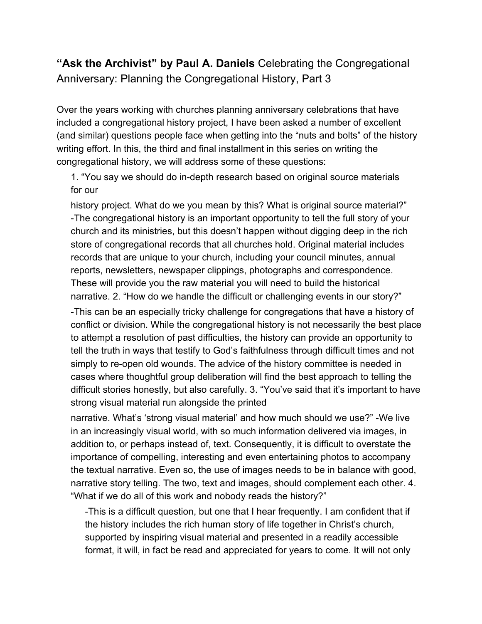## **"Ask the Archivist" by Paul A. Daniels** Celebrating the Congregational Anniversary: Planning the Congregational History, Part 3

Over the years working with churches planning anniversary celebrations that have included a congregational history project, I have been asked a number of excellent (and similar) questions people face when getting into the "nuts and bolts" of the history writing effort. In this, the third and final installment in this series on writing the congregational history, we will address some of these questions:

1. "You say we should do in-depth research based on original source materials for our

history project. What do we you mean by this? What is original source material?" -The congregational history is an important opportunity to tell the full story of your church and its ministries, but this doesn't happen without digging deep in the rich store of congregational records that all churches hold. Original material includes records that are unique to your church, including your council minutes, annual reports, newsletters, newspaper clippings, photographs and correspondence. These will provide you the raw material you will need to build the historical narrative. 2. "How do we handle the difficult or challenging events in our story?"

-This can be an especially tricky challenge for congregations that have a history of conflict or division. While the congregational history is not necessarily the best place to attempt a resolution of past difficulties, the history can provide an opportunity to tell the truth in ways that testify to God's faithfulness through difficult times and not simply to re-open old wounds. The advice of the history committee is needed in cases where thoughtful group deliberation will find the best approach to telling the difficult stories honestly, but also carefully. 3. "You've said that it's important to have strong visual material run alongside the printed

narrative. What's 'strong visual material' and how much should we use?" -We live in an increasingly visual world, with so much information delivered via images, in addition to, or perhaps instead of, text. Consequently, it is difficult to overstate the importance of compelling, interesting and even entertaining photos to accompany the textual narrative. Even so, the use of images needs to be in balance with good, narrative story telling. The two, text and images, should complement each other. 4. "What if we do all of this work and nobody reads the history?"

-This is a difficult question, but one that I hear frequently. I am confident that if the history includes the rich human story of life together in Christ's church, supported by inspiring visual material and presented in a readily accessible format, it will, in fact be read and appreciated for years to come. It will not only